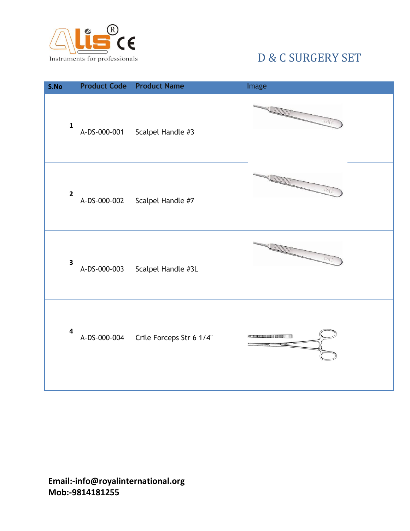

| S.No                    |              | <b>Product Code</b> Product Name      | Image                       |
|-------------------------|--------------|---------------------------------------|-----------------------------|
| $\mathbf 1$             | A-DS-000-001 | Scalpel Handle #3                     | <b>TUTUNING</b><br>$\log_l$ |
| $\overline{\mathbf{c}}$ |              | A-DS-000-002 Scalpel Handle #7        | <b>JUU UUU</b> U<br>网络      |
| $\overline{\mathbf{3}}$ |              | A-DS-000-003 Scalpel Handle #3L       | <b>SUMMIT</b>               |
| 4                       |              | A-DS-000-004 Crile Forceps Str 6 1/4" |                             |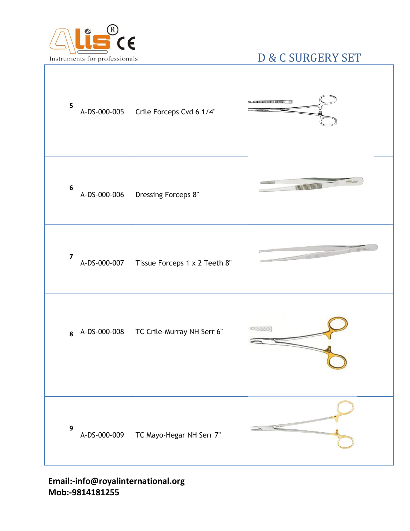

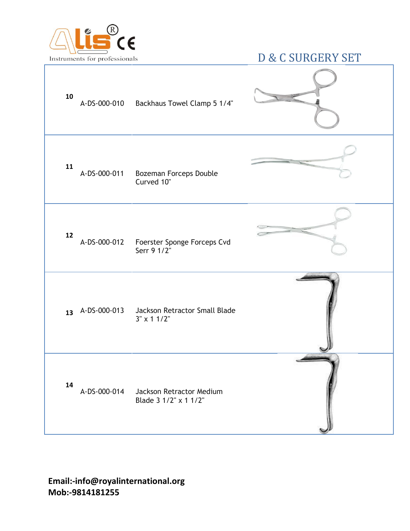

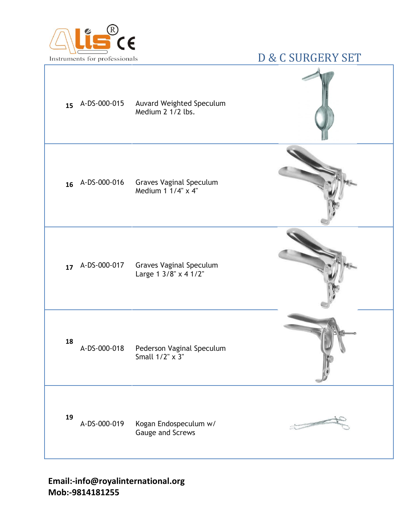

| 15              | A-DS-000-015<br>Medium 2 1/2 lbs. | Auvard Weighted Speculum  |  |
|-----------------|-----------------------------------|---------------------------|--|
| 16 A-DS-000-016 | Medium 1 1/4" x 4"                | Graves Vaginal Speculum   |  |
| 17 A-DS-000-017 | Large 1 3/8" x 4 1/2"             | Graves Vaginal Speculum   |  |
| 18              | A-DS-000-018<br>Small 1/2" x 3"   | Pederson Vaginal Speculum |  |
| 19              | A-DS-000-019<br>Gauge and Screws  | Kogan Endospeculum w/     |  |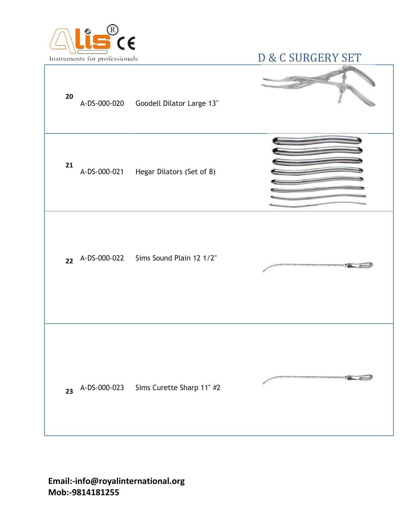

| 20 | A-DS-000-020 Goodell Dilator Large 13"   |  |
|----|------------------------------------------|--|
| 21 | A-DS-000-021 Hegar Dilators (Set of 8)   |  |
|    | 22 A-DS-000-022 Sims Sound Plain 12 1/2" |  |
| 23 | A-DS-000-023 Sims Curette Sharp 11" #2   |  |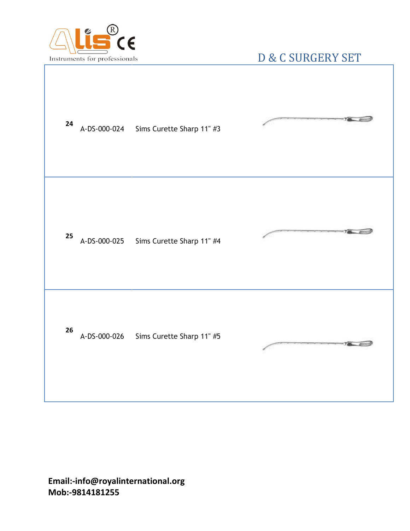

| 24 | A-DS-000-024 Sims Curette Sharp 11" #3 |  |
|----|----------------------------------------|--|
| 25 | A-DS-000-025 Sims Curette Sharp 11" #4 |  |
| 26 | A-DS-000-026 Sims Curette Sharp 11" #5 |  |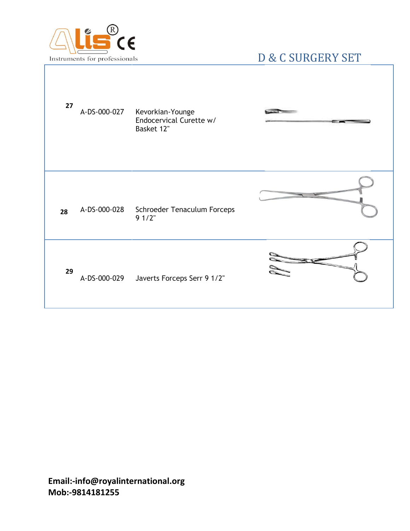

| 27 | A-DS-000-027 Kevorkian-Younge<br>Endocervical Curette w/<br>Basket 12" |  |
|----|------------------------------------------------------------------------|--|
| 28 | A-DS-000-028 Schroeder Tenaculum Forceps<br>$91/2$ "                   |  |
| 29 | A-DS-000-029 Javerts Forceps Serr 9 1/2"                               |  |